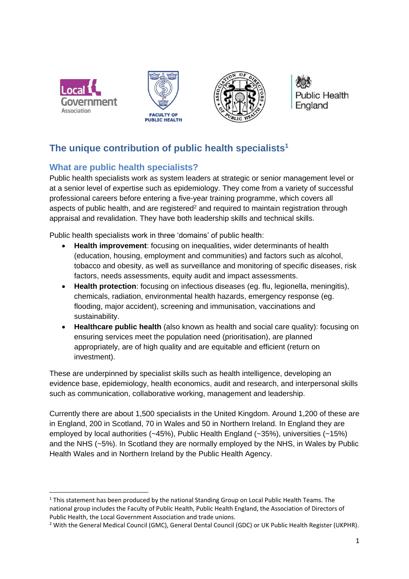

1





**Public Health** England

# **The unique contribution of public health specialists<sup>1</sup>**

## **What are public health specialists?**

Public health specialists work as system leaders at strategic or senior management level or at a senior level of expertise such as epidemiology. They come from a variety of successful professional careers before entering a five-year training programme, which covers all aspects of public health, and are registered<sup>2</sup> and required to maintain registration through appraisal and revalidation. They have both leadership skills and technical skills.

Public health specialists work in three 'domains' of public health:

- **Health improvement**: focusing on inequalities, wider determinants of health (education, housing, employment and communities) and factors such as alcohol, tobacco and obesity, as well as surveillance and monitoring of specific diseases, risk factors, needs assessments, equity audit and impact assessments.
- **Health protection**: focusing on infectious diseases (eg. flu, legionella, meningitis), chemicals, radiation, environmental health hazards, emergency response (eg. flooding, major accident), screening and immunisation, vaccinations and sustainability.
- **Healthcare public health** (also known as health and social care quality): focusing on ensuring services meet the population need (prioritisation), are planned appropriately, are of high quality and are equitable and efficient (return on investment).

These are underpinned by specialist skills such as health intelligence, developing an evidence base, epidemiology, health economics, audit and research, and interpersonal skills such as communication, collaborative working, management and leadership.

Currently there are about 1,500 specialists in the United Kingdom. Around 1,200 of these are in England, 200 in Scotland, 70 in Wales and 50 in Northern Ireland. In England they are employed by local authorities (~45%), Public Health England (~35%), universities (~15%) and the NHS (~5%). In Scotland they are normally employed by the NHS, in Wales by Public Health Wales and in Northern Ireland by the Public Health Agency.

<sup>&</sup>lt;sup>1</sup> This statement has been produced by the national Standing Group on Local Public Health Teams. The national group includes the Faculty of Public Health, Public Health England, the Association of Directors of Public Health, the Local Government Association and trade unions.

<sup>2</sup> With the General Medical Council (GMC), General Dental Council (GDC) or UK Public Health Register (UKPHR).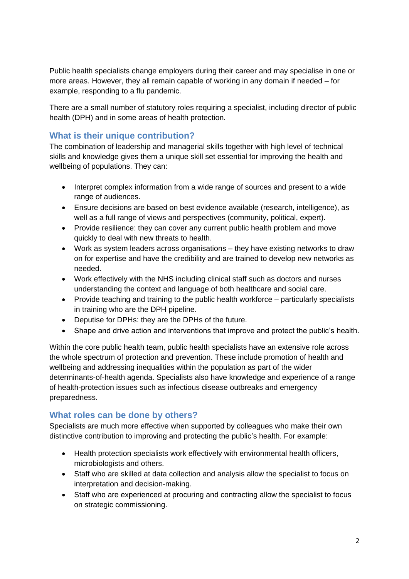Public health specialists change employers during their career and may specialise in one or more areas. However, they all remain capable of working in any domain if needed – for example, responding to a flu pandemic.

There are a small number of statutory roles requiring a specialist, including director of public health (DPH) and in some areas of health protection.

#### **What is their unique contribution?**

The combination of leadership and managerial skills together with high level of technical skills and knowledge gives them a unique skill set essential for improving the health and wellbeing of populations. They can:

- Interpret complex information from a wide range of sources and present to a wide range of audiences.
- Ensure decisions are based on best evidence available (research, intelligence), as well as a full range of views and perspectives (community, political, expert).
- Provide resilience: they can cover any current public health problem and move quickly to deal with new threats to health.
- Work as system leaders across organisations they have existing networks to draw on for expertise and have the credibility and are trained to develop new networks as needed.
- Work effectively with the NHS including clinical staff such as doctors and nurses understanding the context and language of both healthcare and social care.
- Provide teaching and training to the public health workforce particularly specialists in training who are the DPH pipeline.
- Deputise for DPHs: they are the DPHs of the future.
- Shape and drive action and interventions that improve and protect the public's health.

Within the core public health team, public health specialists have an extensive role across the whole spectrum of protection and prevention. These include promotion of health and wellbeing and addressing inequalities within the population as part of the wider determinants-of-health agenda. Specialists also have knowledge and experience of a range of health-protection issues such as infectious disease outbreaks and emergency preparedness.

#### **What roles can be done by others?**

Specialists are much more effective when supported by colleagues who make their own distinctive contribution to improving and protecting the public's health. For example:

- Health protection specialists work effectively with environmental health officers, microbiologists and others.
- Staff who are skilled at data collection and analysis allow the specialist to focus on interpretation and decision-making.
- Staff who are experienced at procuring and contracting allow the specialist to focus on strategic commissioning.